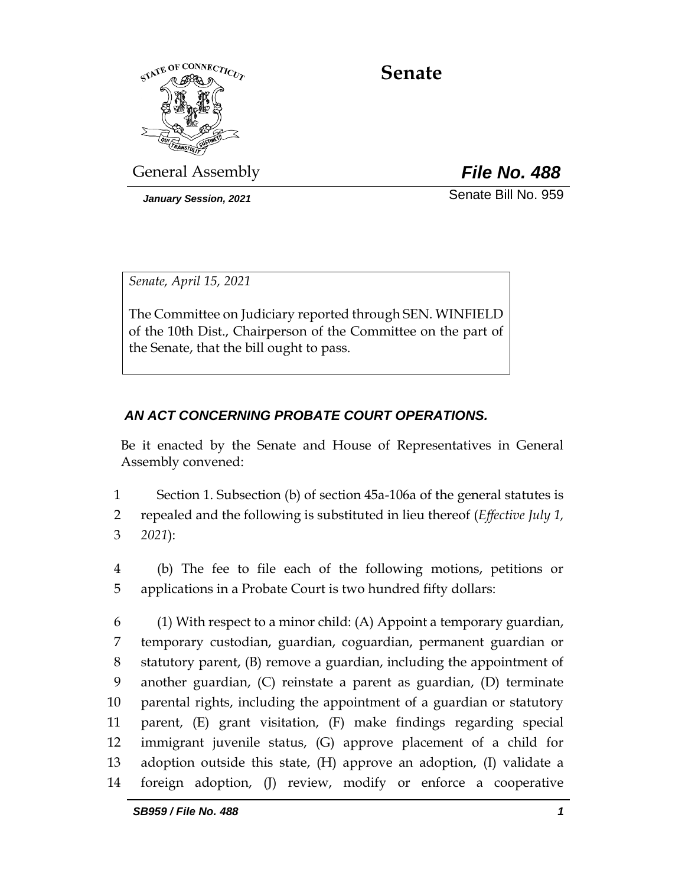

# **Senate**

General Assembly *File No. 488*

*January Session, 2021* Senate Bill No. 959

*Senate, April 15, 2021*

The Committee on Judiciary reported through SEN. WINFIELD of the 10th Dist., Chairperson of the Committee on the part of the Senate, that the bill ought to pass.

## *AN ACT CONCERNING PROBATE COURT OPERATIONS.*

Be it enacted by the Senate and House of Representatives in General Assembly convened:

1 Section 1. Subsection (b) of section 45a-106a of the general statutes is

2 repealed and the following is substituted in lieu thereof (*Effective July 1,*  3 *2021*):

- 4 (b) The fee to file each of the following motions, petitions or 5 applications in a Probate Court is two hundred fifty dollars:
- 6 (1) With respect to a minor child: (A) Appoint a temporary guardian, 7 temporary custodian, guardian, coguardian, permanent guardian or 8 statutory parent, (B) remove a guardian, including the appointment of 9 another guardian, (C) reinstate a parent as guardian, (D) terminate 10 parental rights, including the appointment of a guardian or statutory 11 parent, (E) grant visitation, (F) make findings regarding special 12 immigrant juvenile status, (G) approve placement of a child for 13 adoption outside this state, (H) approve an adoption, (I) validate a 14 foreign adoption, (J) review, modify or enforce a cooperative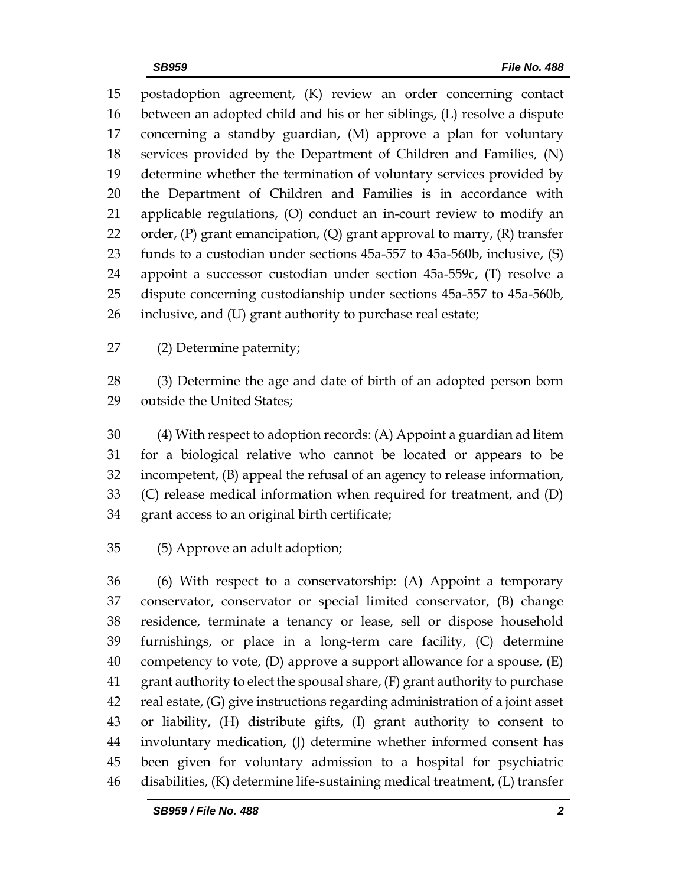postadoption agreement, (K) review an order concerning contact between an adopted child and his or her siblings, (L) resolve a dispute concerning a standby guardian, (M) approve a plan for voluntary services provided by the Department of Children and Families, (N) determine whether the termination of voluntary services provided by the Department of Children and Families is in accordance with applicable regulations, (O) conduct an in-court review to modify an 22 order,  $(P)$  grant emancipation,  $(Q)$  grant approval to marry,  $(R)$  transfer funds to a custodian under sections 45a-557 to 45a-560b, inclusive, (S) appoint a successor custodian under section 45a-559c, (T) resolve a dispute concerning custodianship under sections 45a-557 to 45a-560b, inclusive, and (U) grant authority to purchase real estate;

(2) Determine paternity;

 (3) Determine the age and date of birth of an adopted person born outside the United States;

 (4) With respect to adoption records: (A) Appoint a guardian ad litem for a biological relative who cannot be located or appears to be incompetent, (B) appeal the refusal of an agency to release information, (C) release medical information when required for treatment, and (D) grant access to an original birth certificate;

(5) Approve an adult adoption;

 (6) With respect to a conservatorship: (A) Appoint a temporary conservator, conservator or special limited conservator, (B) change residence, terminate a tenancy or lease, sell or dispose household furnishings, or place in a long-term care facility, (C) determine 40 competency to vote,  $(D)$  approve a support allowance for a spouse,  $(E)$  grant authority to elect the spousal share, (F) grant authority to purchase real estate, (G) give instructions regarding administration of a joint asset or liability, (H) distribute gifts, (I) grant authority to consent to involuntary medication, (J) determine whether informed consent has been given for voluntary admission to a hospital for psychiatric disabilities, (K) determine life-sustaining medical treatment, (L) transfer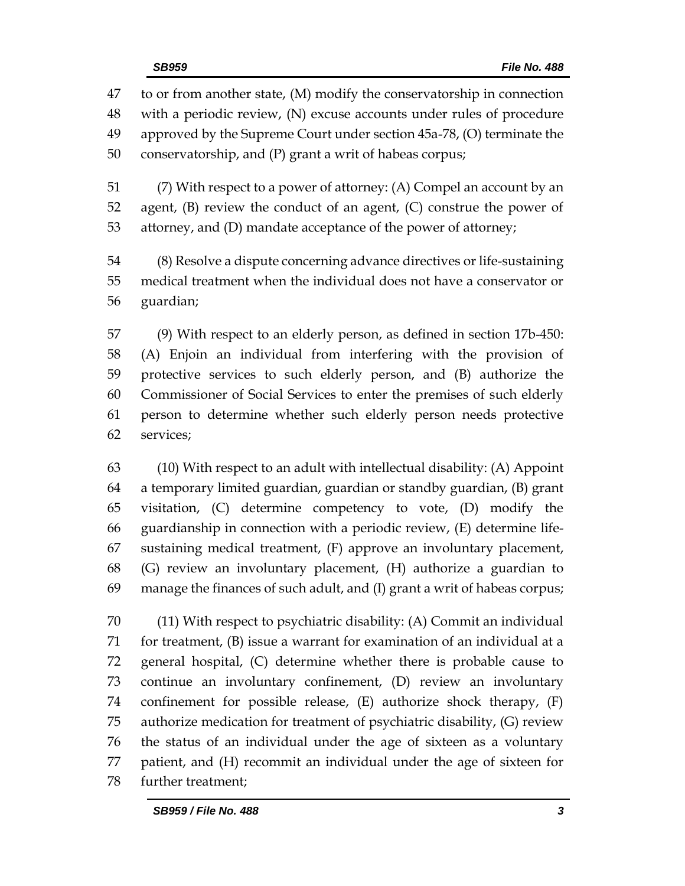to or from another state, (M) modify the conservatorship in connection with a periodic review, (N) excuse accounts under rules of procedure approved by the Supreme Court under section 45a-78, (O) terminate the conservatorship, and (P) grant a writ of habeas corpus;

 (7) With respect to a power of attorney: (A) Compel an account by an agent, (B) review the conduct of an agent, (C) construe the power of attorney, and (D) mandate acceptance of the power of attorney;

 (8) Resolve a dispute concerning advance directives or life-sustaining medical treatment when the individual does not have a conservator or guardian;

 (9) With respect to an elderly person, as defined in section 17b-450: (A) Enjoin an individual from interfering with the provision of protective services to such elderly person, and (B) authorize the Commissioner of Social Services to enter the premises of such elderly person to determine whether such elderly person needs protective services;

 (10) With respect to an adult with intellectual disability: (A) Appoint a temporary limited guardian, guardian or standby guardian, (B) grant visitation, (C) determine competency to vote, (D) modify the guardianship in connection with a periodic review, (E) determine life- sustaining medical treatment, (F) approve an involuntary placement, (G) review an involuntary placement, (H) authorize a guardian to manage the finances of such adult, and (I) grant a writ of habeas corpus;

 (11) With respect to psychiatric disability: (A) Commit an individual for treatment, (B) issue a warrant for examination of an individual at a general hospital, (C) determine whether there is probable cause to continue an involuntary confinement, (D) review an involuntary confinement for possible release, (E) authorize shock therapy, (F) authorize medication for treatment of psychiatric disability, (G) review the status of an individual under the age of sixteen as a voluntary patient, and (H) recommit an individual under the age of sixteen for further treatment;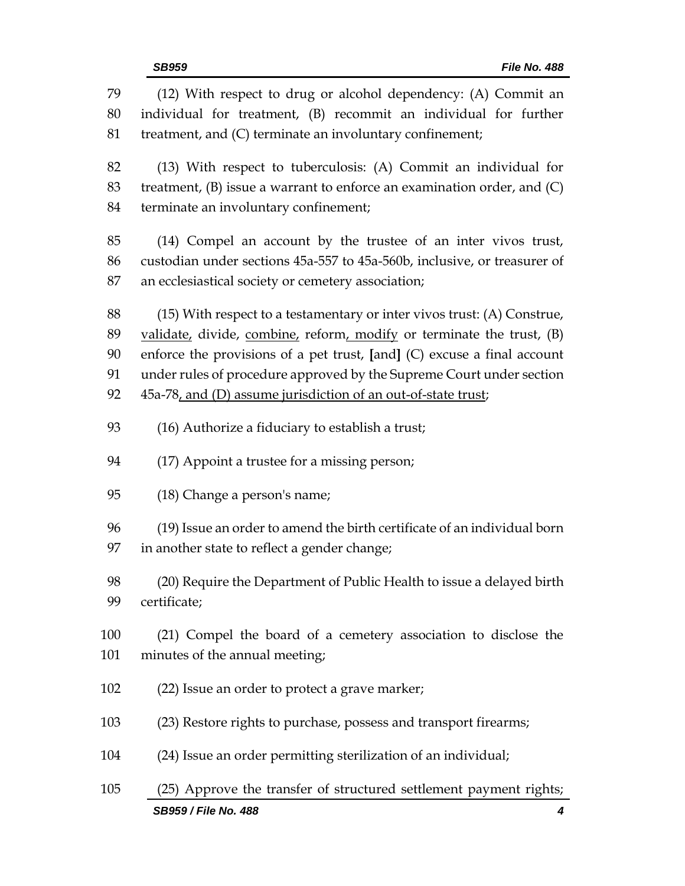| 79  | (12) With respect to drug or alcohol dependency: (A) Commit an              |  |  |
|-----|-----------------------------------------------------------------------------|--|--|
| 80  | individual for treatment, (B) recommit an individual for further            |  |  |
| 81  | treatment, and (C) terminate an involuntary confinement;                    |  |  |
| 82  | (13) With respect to tuberculosis: (A) Commit an individual for             |  |  |
| 83  | treatment, $(B)$ issue a warrant to enforce an examination order, and $(C)$ |  |  |
| 84  | terminate an involuntary confinement;                                       |  |  |
|     |                                                                             |  |  |
| 85  | (14) Compel an account by the trustee of an inter vivos trust,              |  |  |
| 86  | custodian under sections 45a-557 to 45a-560b, inclusive, or treasurer of    |  |  |
| 87  | an ecclesiastical society or cemetery association;                          |  |  |
| 88  | $(15)$ With respect to a testamentary or inter vivos trust: $(A)$ Construe, |  |  |
| 89  | validate, divide, combine, reform, modify or terminate the trust, (B)       |  |  |
| 90  | enforce the provisions of a pet trust, $[and]$ (C) excuse a final account   |  |  |
| 91  | under rules of procedure approved by the Supreme Court under section        |  |  |
| 92  | 45a-78, and (D) assume jurisdiction of an out-of-state trust;               |  |  |
|     |                                                                             |  |  |
| 93  | (16) Authorize a fiduciary to establish a trust;                            |  |  |
| 94  | (17) Appoint a trustee for a missing person;                                |  |  |
| 95  | (18) Change a person's name;                                                |  |  |
| 96  | (19) Issue an order to amend the birth certificate of an individual born    |  |  |
| 97  | in another state to reflect a gender change;                                |  |  |
|     |                                                                             |  |  |
| 98  | (20) Require the Department of Public Health to issue a delayed birth       |  |  |
| 99  | certificate;                                                                |  |  |
| 100 | (21) Compel the board of a cemetery association to disclose the             |  |  |
| 101 | minutes of the annual meeting;                                              |  |  |
| 102 | (22) Issue an order to protect a grave marker;                              |  |  |
| 103 | (23) Restore rights to purchase, possess and transport firearms;            |  |  |
|     |                                                                             |  |  |
| 104 | (24) Issue an order permitting sterilization of an individual;              |  |  |
| 105 | (25) Approve the transfer of structured settlement payment rights;          |  |  |
|     | SB959 / File No. 488<br>4                                                   |  |  |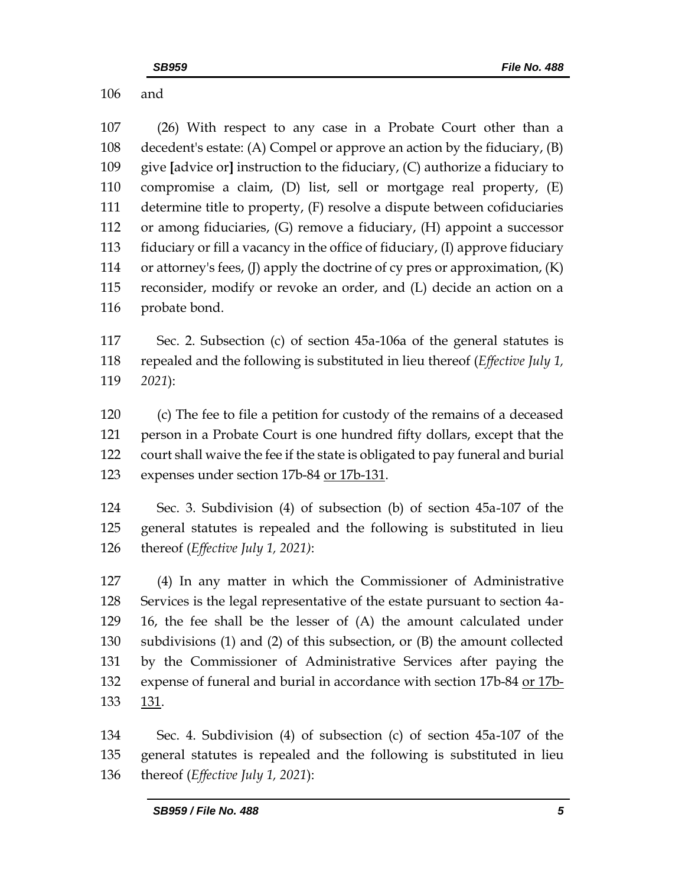and

 (26) With respect to any case in a Probate Court other than a decedent's estate: (A) Compel or approve an action by the fiduciary, (B) give **[**advice or**]** instruction to the fiduciary, (C) authorize a fiduciary to compromise a claim, (D) list, sell or mortgage real property, (E) determine title to property, (F) resolve a dispute between cofiduciaries or among fiduciaries, (G) remove a fiduciary, (H) appoint a successor fiduciary or fill a vacancy in the office of fiduciary, (I) approve fiduciary or attorney's fees, (J) apply the doctrine of cy pres or approximation, (K) reconsider, modify or revoke an order, and (L) decide an action on a probate bond.

 Sec. 2. Subsection (c) of section 45a-106a of the general statutes is repealed and the following is substituted in lieu thereof (*Effective July 1, 2021*):

 (c) The fee to file a petition for custody of the remains of a deceased person in a Probate Court is one hundred fifty dollars, except that the court shall waive the fee if the state is obligated to pay funeral and burial expenses under section 17b-84 or 17b-131.

 Sec. 3. Subdivision (4) of subsection (b) of section 45a-107 of the general statutes is repealed and the following is substituted in lieu thereof (*Effective July 1, 2021)*:

 (4) In any matter in which the Commissioner of Administrative Services is the legal representative of the estate pursuant to section 4a- 16, the fee shall be the lesser of (A) the amount calculated under subdivisions (1) and (2) of this subsection, or (B) the amount collected by the Commissioner of Administrative Services after paying the expense of funeral and burial in accordance with section 17b-84 or 17b-133 131.

 Sec. 4. Subdivision (4) of subsection (c) of section 45a-107 of the general statutes is repealed and the following is substituted in lieu thereof (*Effective July 1, 2021*):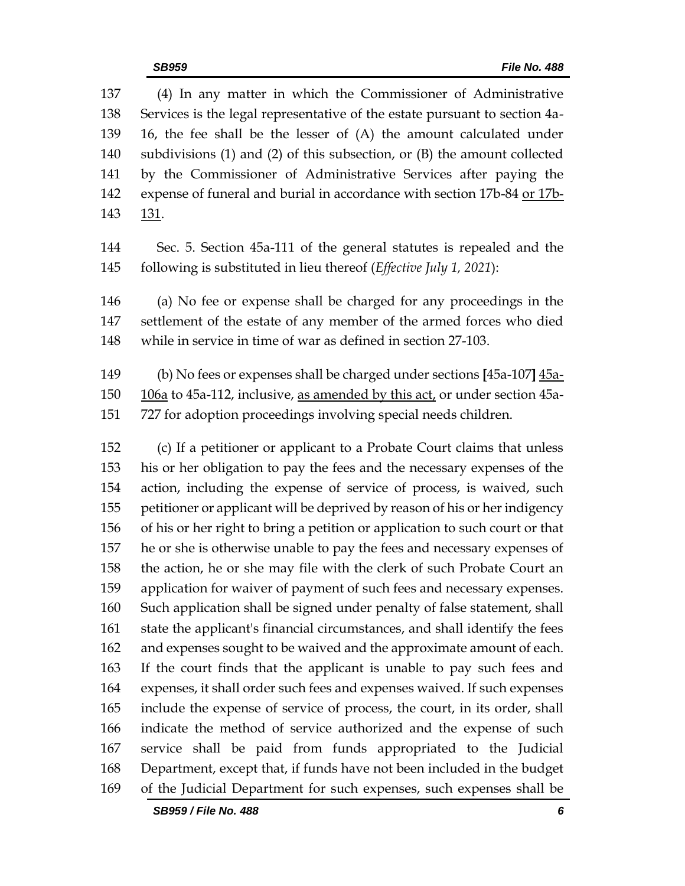*SB959 / File No. 488 6* Services is the legal representative of the estate pursuant to section 4a- 16, the fee shall be the lesser of (A) the amount calculated under subdivisions (1) and (2) of this subsection, or (B) the amount collected by the Commissioner of Administrative Services after paying the 142 expense of funeral and burial in accordance with section 17b-84 or 17b- 131. Sec. 5. Section 45a-111 of the general statutes is repealed and the following is substituted in lieu thereof (*Effective July 1, 2021*): (a) No fee or expense shall be charged for any proceedings in the settlement of the estate of any member of the armed forces who died while in service in time of war as defined in section 27-103. (b) No fees or expenses shall be charged under sections **[**45a-107**]** 45a- 106a to 45a-112, inclusive, as amended by this act, or under section 45a- 727 for adoption proceedings involving special needs children. (c) If a petitioner or applicant to a Probate Court claims that unless his or her obligation to pay the fees and the necessary expenses of the action, including the expense of service of process, is waived, such petitioner or applicant will be deprived by reason of his or her indigency of his or her right to bring a petition or application to such court or that he or she is otherwise unable to pay the fees and necessary expenses of the action, he or she may file with the clerk of such Probate Court an application for waiver of payment of such fees and necessary expenses. Such application shall be signed under penalty of false statement, shall state the applicant's financial circumstances, and shall identify the fees and expenses sought to be waived and the approximate amount of each. If the court finds that the applicant is unable to pay such fees and expenses, it shall order such fees and expenses waived. If such expenses include the expense of service of process, the court, in its order, shall indicate the method of service authorized and the expense of such service shall be paid from funds appropriated to the Judicial Department, except that, if funds have not been included in the budget of the Judicial Department for such expenses, such expenses shall be

(4) In any matter in which the Commissioner of Administrative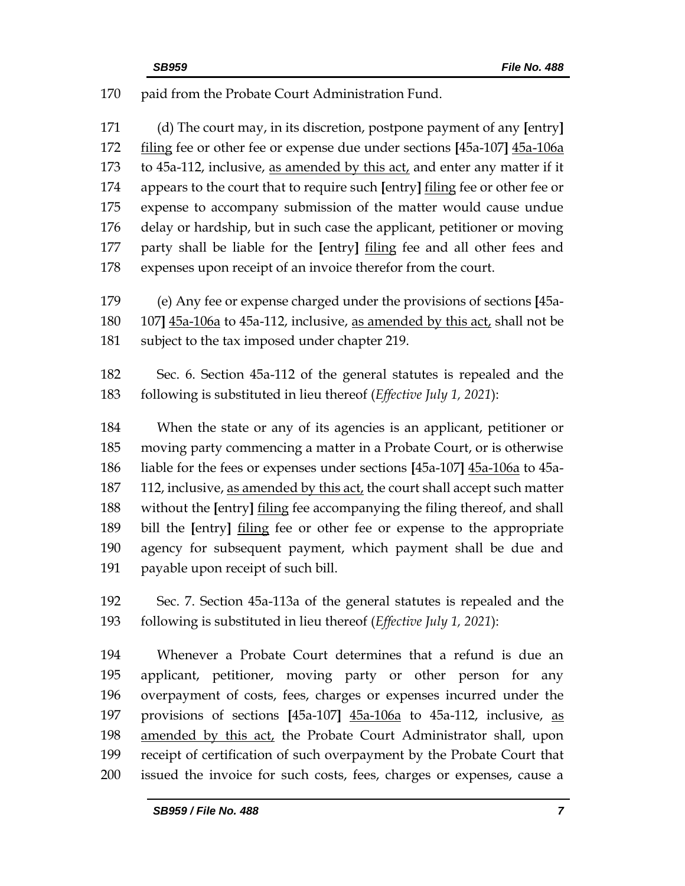paid from the Probate Court Administration Fund.

 (d) The court may, in its discretion, postpone payment of any **[**entry**]** filing fee or other fee or expense due under sections **[**45a-107**]** 45a-106a to 45a-112, inclusive, as amended by this act, and enter any matter if it appears to the court that to require such **[**entry**]** filing fee or other fee or expense to accompany submission of the matter would cause undue delay or hardship, but in such case the applicant, petitioner or moving party shall be liable for the **[**entry**]** filing fee and all other fees and expenses upon receipt of an invoice therefor from the court.

 (e) Any fee or expense charged under the provisions of sections **[**45a- 107**]** 45a-106a to 45a-112, inclusive, as amended by this act, shall not be subject to the tax imposed under chapter 219.

 Sec. 6. Section 45a-112 of the general statutes is repealed and the following is substituted in lieu thereof (*Effective July 1, 2021*):

 When the state or any of its agencies is an applicant, petitioner or moving party commencing a matter in a Probate Court, or is otherwise liable for the fees or expenses under sections **[**45a-107**]** 45a-106a to 45a- 112, inclusive, as amended by this act, the court shall accept such matter without the **[**entry**]** filing fee accompanying the filing thereof, and shall bill the **[**entry**]** filing fee or other fee or expense to the appropriate agency for subsequent payment, which payment shall be due and payable upon receipt of such bill.

 Sec. 7. Section 45a-113a of the general statutes is repealed and the following is substituted in lieu thereof (*Effective July 1, 2021*):

 Whenever a Probate Court determines that a refund is due an applicant, petitioner, moving party or other person for any overpayment of costs, fees, charges or expenses incurred under the provisions of sections **[**45a-107**]** 45a-106a to 45a-112, inclusive, as amended by this act, the Probate Court Administrator shall, upon receipt of certification of such overpayment by the Probate Court that issued the invoice for such costs, fees, charges or expenses, cause a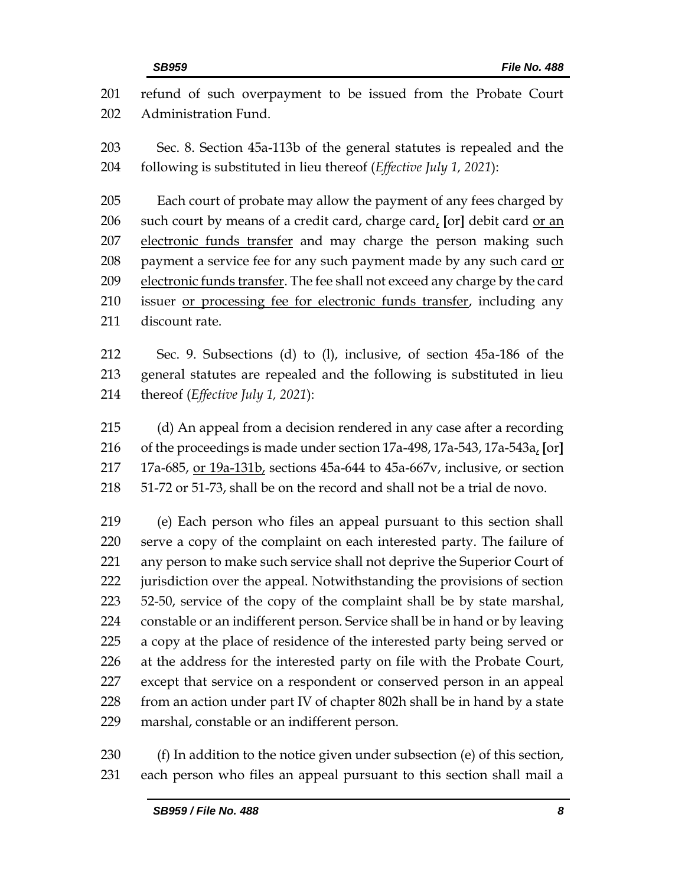refund of such overpayment to be issued from the Probate Court Administration Fund. Sec. 8. Section 45a-113b of the general statutes is repealed and the following is substituted in lieu thereof (*Effective July 1, 2021*): Each court of probate may allow the payment of any fees charged by such court by means of a credit card, charge card, **[**or**]** debit card or an electronic funds transfer and may charge the person making such 208 payment a service fee for any such payment made by any such card or 209 electronic funds transfer. The fee shall not exceed any charge by the card issuer or processing fee for electronic funds transfer, including any discount rate. Sec. 9. Subsections (d) to (l), inclusive, of section 45a-186 of the general statutes are repealed and the following is substituted in lieu thereof (*Effective July 1, 2021*): (d) An appeal from a decision rendered in any case after a recording of the proceedings is made under section 17a-498, 17a-543, 17a-543a, **[**or**]**  17a-685, or 19a-131b, sections 45a-644 to 45a-667v, inclusive, or section 51-72 or 51-73, shall be on the record and shall not be a trial de novo. (e) Each person who files an appeal pursuant to this section shall serve a copy of the complaint on each interested party. The failure of any person to make such service shall not deprive the Superior Court of jurisdiction over the appeal. Notwithstanding the provisions of section 52-50, service of the copy of the complaint shall be by state marshal, constable or an indifferent person. Service shall be in hand or by leaving a copy at the place of residence of the interested party being served or at the address for the interested party on file with the Probate Court, except that service on a respondent or conserved person in an appeal from an action under part IV of chapter 802h shall be in hand by a state marshal, constable or an indifferent person.

 (f) In addition to the notice given under subsection (e) of this section, each person who files an appeal pursuant to this section shall mail a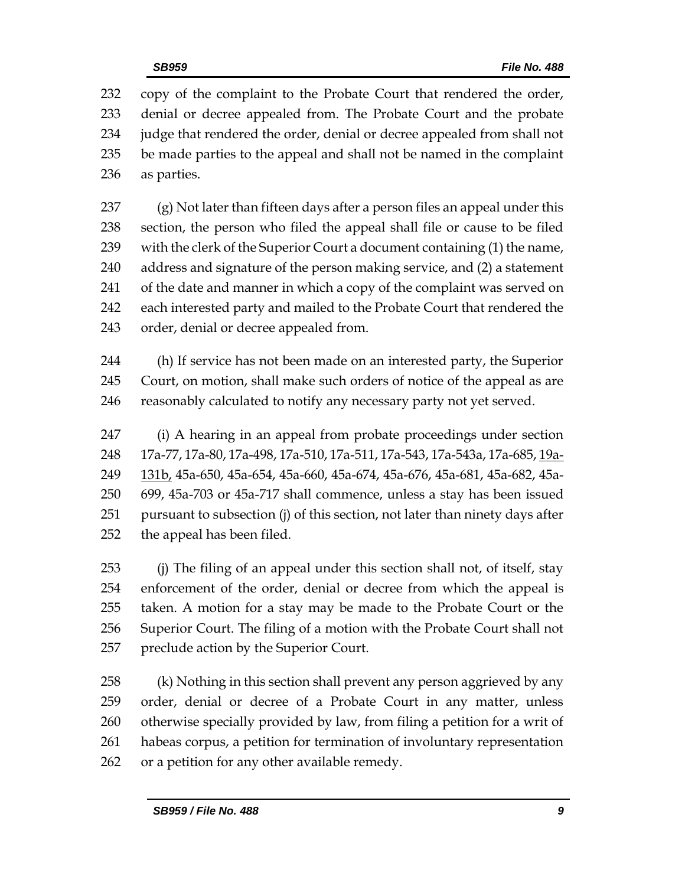copy of the complaint to the Probate Court that rendered the order, denial or decree appealed from. The Probate Court and the probate judge that rendered the order, denial or decree appealed from shall not be made parties to the appeal and shall not be named in the complaint as parties.

 (g) Not later than fifteen days after a person files an appeal under this section, the person who filed the appeal shall file or cause to be filed with the clerk of the Superior Court a document containing (1) the name, address and signature of the person making service, and (2) a statement 241 of the date and manner in which a copy of the complaint was served on each interested party and mailed to the Probate Court that rendered the order, denial or decree appealed from.

 (h) If service has not been made on an interested party, the Superior Court, on motion, shall make such orders of notice of the appeal as are reasonably calculated to notify any necessary party not yet served.

 (i) A hearing in an appeal from probate proceedings under section 17a-77, 17a-80, 17a-498, 17a-510, 17a-511, 17a-543, 17a-543a, 17a-685, 19a- 131b, 45a-650, 45a-654, 45a-660, 45a-674, 45a-676, 45a-681, 45a-682, 45a- 699, 45a-703 or 45a-717 shall commence, unless a stay has been issued pursuant to subsection (j) of this section, not later than ninety days after the appeal has been filed.

 (j) The filing of an appeal under this section shall not, of itself, stay enforcement of the order, denial or decree from which the appeal is taken. A motion for a stay may be made to the Probate Court or the Superior Court. The filing of a motion with the Probate Court shall not preclude action by the Superior Court.

 (k) Nothing in this section shall prevent any person aggrieved by any order, denial or decree of a Probate Court in any matter, unless otherwise specially provided by law, from filing a petition for a writ of habeas corpus, a petition for termination of involuntary representation or a petition for any other available remedy.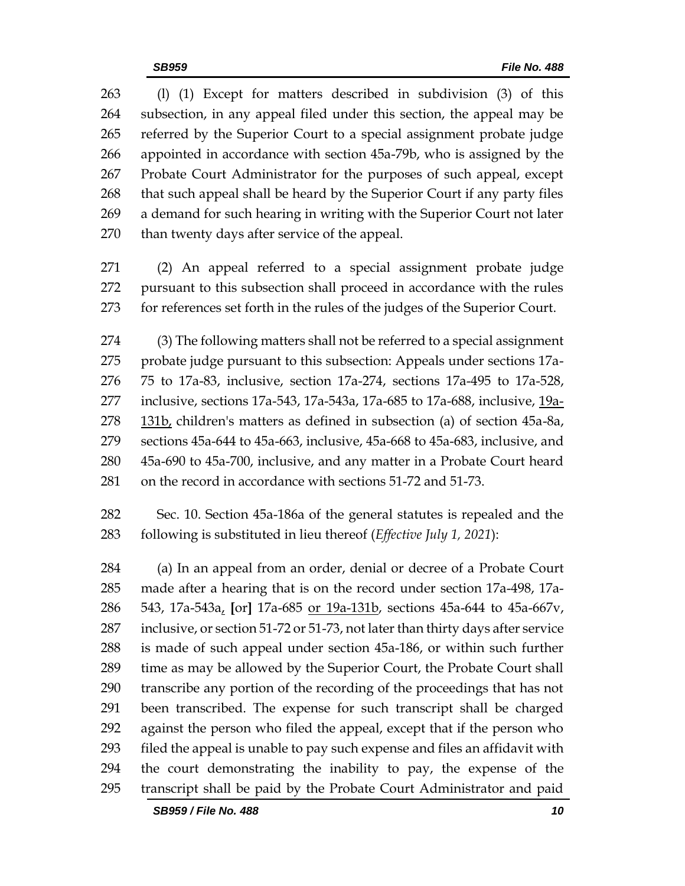(l) (1) Except for matters described in subdivision (3) of this subsection, in any appeal filed under this section, the appeal may be referred by the Superior Court to a special assignment probate judge appointed in accordance with section 45a-79b, who is assigned by the Probate Court Administrator for the purposes of such appeal, except that such appeal shall be heard by the Superior Court if any party files a demand for such hearing in writing with the Superior Court not later than twenty days after service of the appeal.

 (2) An appeal referred to a special assignment probate judge pursuant to this subsection shall proceed in accordance with the rules for references set forth in the rules of the judges of the Superior Court.

 (3) The following matters shall not be referred to a special assignment probate judge pursuant to this subsection: Appeals under sections 17a- 75 to 17a-83, inclusive, section 17a-274, sections 17a-495 to 17a-528, inclusive, sections 17a-543, 17a-543a, 17a-685 to 17a-688, inclusive, 19a- 131b, children's matters as defined in subsection (a) of section 45a-8a, sections 45a-644 to 45a-663, inclusive, 45a-668 to 45a-683, inclusive, and 45a-690 to 45a-700, inclusive, and any matter in a Probate Court heard on the record in accordance with sections 51-72 and 51-73.

 Sec. 10. Section 45a-186a of the general statutes is repealed and the following is substituted in lieu thereof (*Effective July 1, 2021*):

 (a) In an appeal from an order, denial or decree of a Probate Court made after a hearing that is on the record under section 17a-498, 17a- 543, 17a-543a, **[**or**]** 17a-685 or 19a-131b, sections 45a-644 to 45a-667v, inclusive, or section 51-72 or 51-73, not later than thirty days after service is made of such appeal under section 45a-186, or within such further time as may be allowed by the Superior Court, the Probate Court shall transcribe any portion of the recording of the proceedings that has not been transcribed. The expense for such transcript shall be charged against the person who filed the appeal, except that if the person who filed the appeal is unable to pay such expense and files an affidavit with the court demonstrating the inability to pay, the expense of the transcript shall be paid by the Probate Court Administrator and paid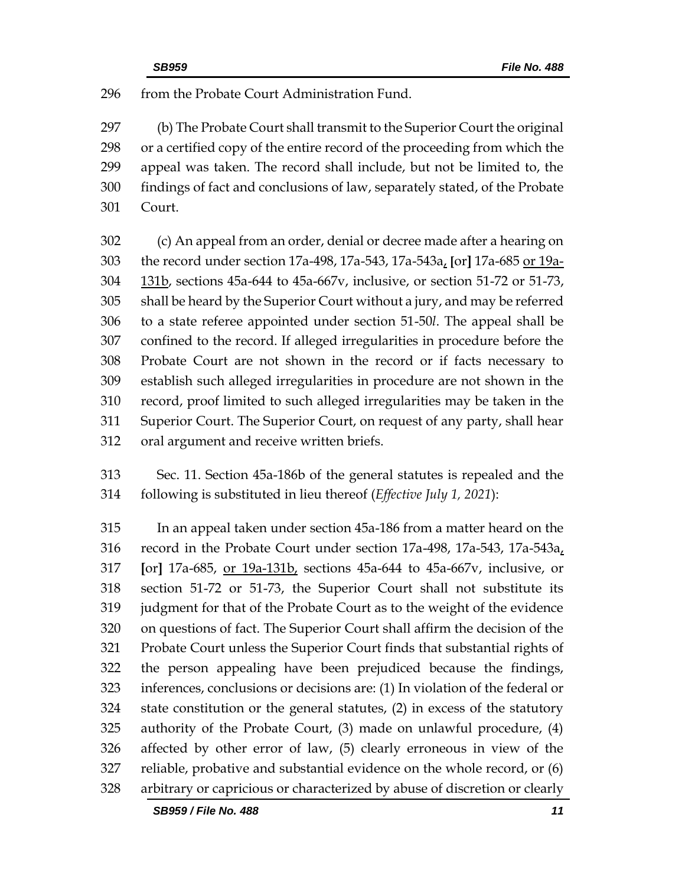from the Probate Court Administration Fund.

 (b) The Probate Court shall transmit to the Superior Court the original or a certified copy of the entire record of the proceeding from which the appeal was taken. The record shall include, but not be limited to, the findings of fact and conclusions of law, separately stated, of the Probate Court.

 (c) An appeal from an order, denial or decree made after a hearing on the record under section 17a-498, 17a-543, 17a-543a, **[**or**]** 17a-685 or 19a- 131b, sections 45a-644 to 45a-667v, inclusive, or section 51-72 or 51-73, shall be heard by the Superior Court without a jury, and may be referred to a state referee appointed under section 51-50*l*. The appeal shall be confined to the record. If alleged irregularities in procedure before the Probate Court are not shown in the record or if facts necessary to establish such alleged irregularities in procedure are not shown in the record, proof limited to such alleged irregularities may be taken in the Superior Court. The Superior Court, on request of any party, shall hear oral argument and receive written briefs.

 Sec. 11. Section 45a-186b of the general statutes is repealed and the following is substituted in lieu thereof (*Effective July 1, 2021*):

 In an appeal taken under section 45a-186 from a matter heard on the record in the Probate Court under section 17a-498, 17a-543, 17a-543a, **[**or**]** 17a-685, or 19a-131b, sections 45a-644 to 45a-667v, inclusive, or section 51-72 or 51-73, the Superior Court shall not substitute its judgment for that of the Probate Court as to the weight of the evidence on questions of fact. The Superior Court shall affirm the decision of the Probate Court unless the Superior Court finds that substantial rights of the person appealing have been prejudiced because the findings, inferences, conclusions or decisions are: (1) In violation of the federal or state constitution or the general statutes, (2) in excess of the statutory authority of the Probate Court, (3) made on unlawful procedure, (4) affected by other error of law, (5) clearly erroneous in view of the reliable, probative and substantial evidence on the whole record, or (6) arbitrary or capricious or characterized by abuse of discretion or clearly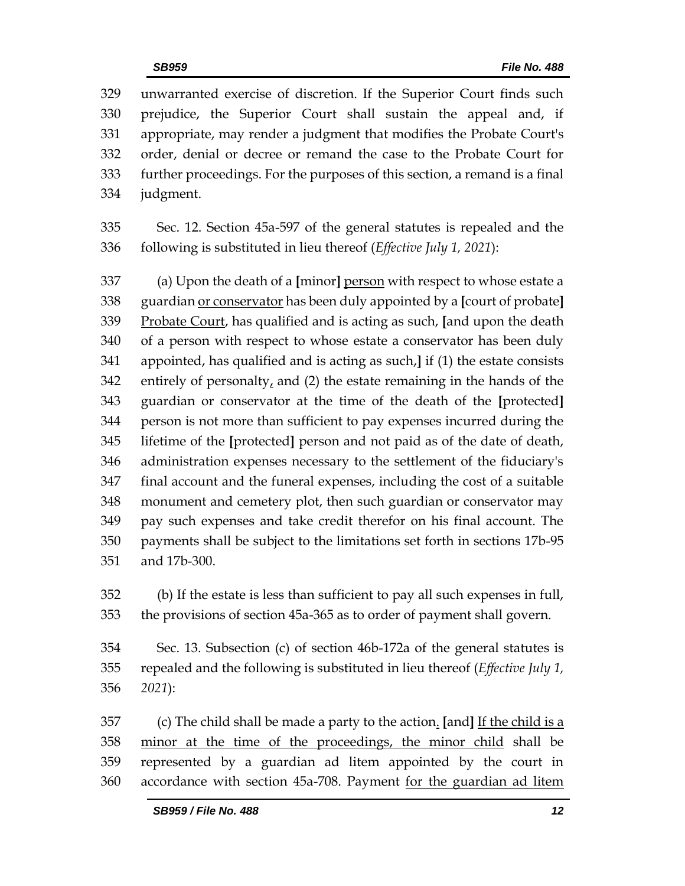unwarranted exercise of discretion. If the Superior Court finds such prejudice, the Superior Court shall sustain the appeal and, if appropriate, may render a judgment that modifies the Probate Court's order, denial or decree or remand the case to the Probate Court for further proceedings. For the purposes of this section, a remand is a final judgment.

 Sec. 12. Section 45a-597 of the general statutes is repealed and the following is substituted in lieu thereof (*Effective July 1, 2021*):

 (a) Upon the death of a **[**minor**]** person with respect to whose estate a guardian or conservator has been duly appointed by a **[**court of probate**]** Probate Court, has qualified and is acting as such, **[**and upon the death of a person with respect to whose estate a conservator has been duly appointed, has qualified and is acting as such,**]** if (1) the estate consists 342 entirely of personalty, and (2) the estate remaining in the hands of the guardian or conservator at the time of the death of the **[**protected**]** person is not more than sufficient to pay expenses incurred during the lifetime of the **[**protected**]** person and not paid as of the date of death, administration expenses necessary to the settlement of the fiduciary's final account and the funeral expenses, including the cost of a suitable monument and cemetery plot, then such guardian or conservator may pay such expenses and take credit therefor on his final account. The payments shall be subject to the limitations set forth in sections 17b-95 and 17b-300.

 (b) If the estate is less than sufficient to pay all such expenses in full, the provisions of section 45a-365 as to order of payment shall govern.

 Sec. 13. Subsection (c) of section 46b-172a of the general statutes is repealed and the following is substituted in lieu thereof (*Effective July 1, 2021*):

 (c) The child shall be made a party to the action. **[**and**]** If the child is a minor at the time of the proceedings, the minor child shall be represented by a guardian ad litem appointed by the court in accordance with section 45a-708. Payment for the guardian ad litem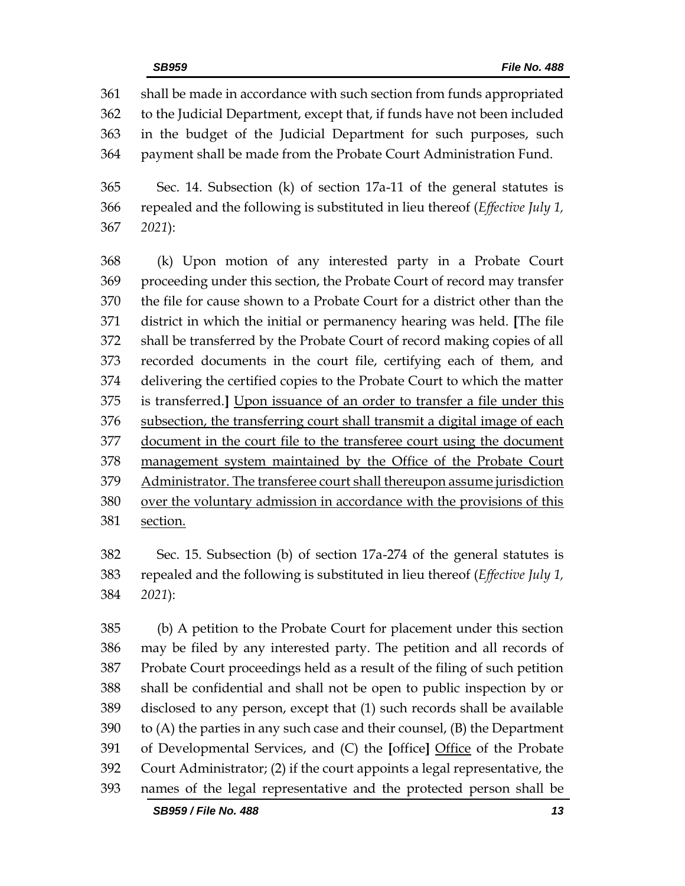shall be made in accordance with such section from funds appropriated to the Judicial Department, except that, if funds have not been included in the budget of the Judicial Department for such purposes, such payment shall be made from the Probate Court Administration Fund.

 Sec. 14. Subsection (k) of section 17a-11 of the general statutes is repealed and the following is substituted in lieu thereof (*Effective July 1, 2021*):

 (k) Upon motion of any interested party in a Probate Court proceeding under this section, the Probate Court of record may transfer the file for cause shown to a Probate Court for a district other than the district in which the initial or permanency hearing was held. **[**The file shall be transferred by the Probate Court of record making copies of all recorded documents in the court file, certifying each of them, and delivering the certified copies to the Probate Court to which the matter is transferred.**]** Upon issuance of an order to transfer a file under this subsection, the transferring court shall transmit a digital image of each document in the court file to the transferee court using the document management system maintained by the Office of the Probate Court Administrator. The transferee court shall thereupon assume jurisdiction over the voluntary admission in accordance with the provisions of this section.

 Sec. 15. Subsection (b) of section 17a-274 of the general statutes is repealed and the following is substituted in lieu thereof (*Effective July 1, 2021*):

 (b) A petition to the Probate Court for placement under this section may be filed by any interested party. The petition and all records of Probate Court proceedings held as a result of the filing of such petition shall be confidential and shall not be open to public inspection by or disclosed to any person, except that (1) such records shall be available to (A) the parties in any such case and their counsel, (B) the Department of Developmental Services, and (C) the **[**office**]** Office of the Probate Court Administrator; (2) if the court appoints a legal representative, the names of the legal representative and the protected person shall be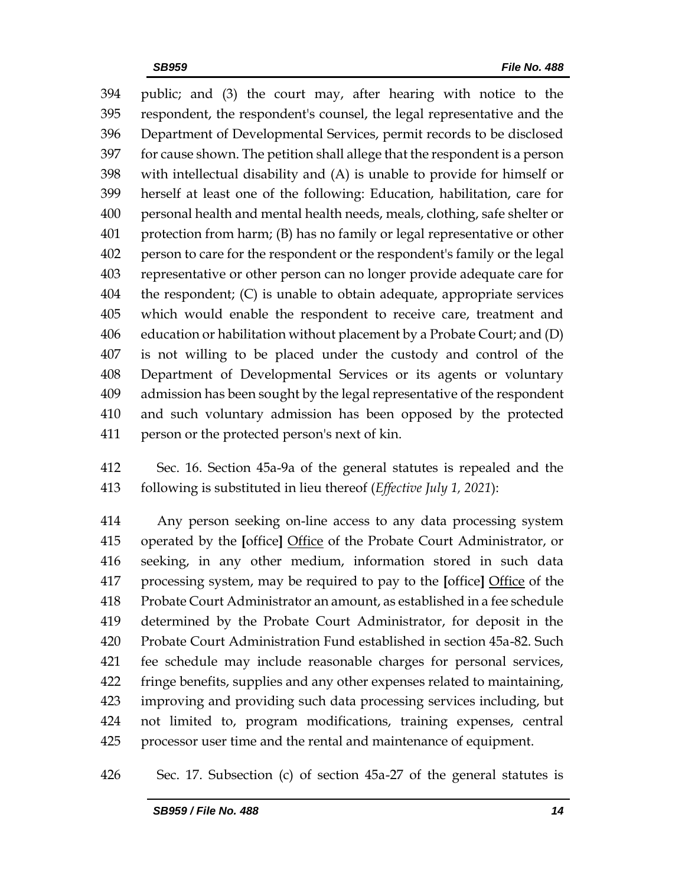public; and (3) the court may, after hearing with notice to the respondent, the respondent's counsel, the legal representative and the Department of Developmental Services, permit records to be disclosed for cause shown. The petition shall allege that the respondent is a person with intellectual disability and (A) is unable to provide for himself or herself at least one of the following: Education, habilitation, care for personal health and mental health needs, meals, clothing, safe shelter or protection from harm; (B) has no family or legal representative or other person to care for the respondent or the respondent's family or the legal representative or other person can no longer provide adequate care for the respondent; (C) is unable to obtain adequate, appropriate services which would enable the respondent to receive care, treatment and education or habilitation without placement by a Probate Court; and (D) is not willing to be placed under the custody and control of the Department of Developmental Services or its agents or voluntary admission has been sought by the legal representative of the respondent and such voluntary admission has been opposed by the protected person or the protected person's next of kin.

 Sec. 16. Section 45a-9a of the general statutes is repealed and the following is substituted in lieu thereof (*Effective July 1, 2021*):

 Any person seeking on-line access to any data processing system operated by the **[**office**]** Office of the Probate Court Administrator, or seeking, in any other medium, information stored in such data processing system, may be required to pay to the **[**office**]** Office of the Probate Court Administrator an amount, as established in a fee schedule determined by the Probate Court Administrator, for deposit in the Probate Court Administration Fund established in section 45a-82. Such fee schedule may include reasonable charges for personal services, fringe benefits, supplies and any other expenses related to maintaining, improving and providing such data processing services including, but not limited to, program modifications, training expenses, central processor user time and the rental and maintenance of equipment.

Sec. 17. Subsection (c) of section 45a-27 of the general statutes is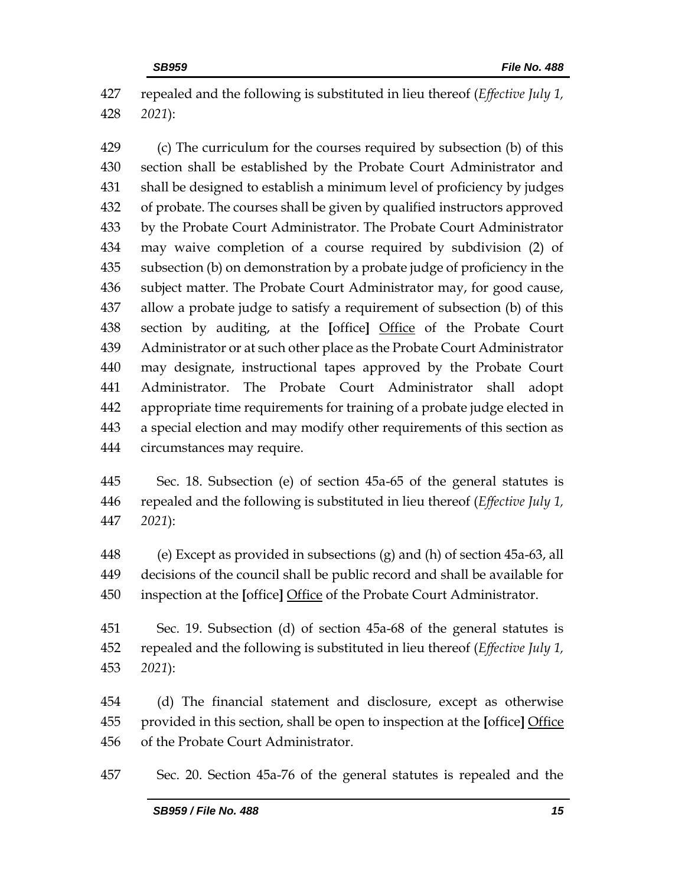repealed and the following is substituted in lieu thereof (*Effective July 1, 2021*):

 (c) The curriculum for the courses required by subsection (b) of this section shall be established by the Probate Court Administrator and shall be designed to establish a minimum level of proficiency by judges of probate. The courses shall be given by qualified instructors approved by the Probate Court Administrator. The Probate Court Administrator may waive completion of a course required by subdivision (2) of subsection (b) on demonstration by a probate judge of proficiency in the subject matter. The Probate Court Administrator may, for good cause, allow a probate judge to satisfy a requirement of subsection (b) of this section by auditing, at the **[**office**]** Office of the Probate Court Administrator or at such other place as the Probate Court Administrator may designate, instructional tapes approved by the Probate Court Administrator. The Probate Court Administrator shall adopt appropriate time requirements for training of a probate judge elected in a special election and may modify other requirements of this section as circumstances may require.

 Sec. 18. Subsection (e) of section 45a-65 of the general statutes is repealed and the following is substituted in lieu thereof (*Effective July 1, 2021*):

 (e) Except as provided in subsections (g) and (h) of section 45a-63, all decisions of the council shall be public record and shall be available for inspection at the **[**office**]** Office of the Probate Court Administrator.

 Sec. 19. Subsection (d) of section 45a-68 of the general statutes is repealed and the following is substituted in lieu thereof (*Effective July 1, 2021*):

 (d) The financial statement and disclosure, except as otherwise provided in this section, shall be open to inspection at the **[**office**]** Office of the Probate Court Administrator.

Sec. 20. Section 45a-76 of the general statutes is repealed and the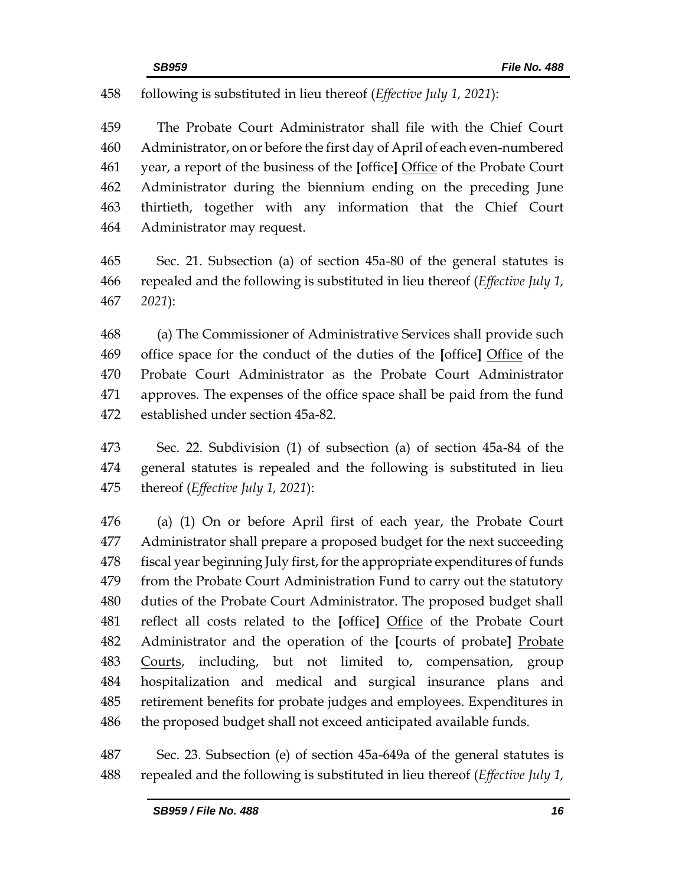## following is substituted in lieu thereof (*Effective July 1, 2021*):

 The Probate Court Administrator shall file with the Chief Court Administrator, on or before the first day of April of each even-numbered year, a report of the business of the **[**office**]** Office of the Probate Court Administrator during the biennium ending on the preceding June thirtieth, together with any information that the Chief Court Administrator may request.

 Sec. 21. Subsection (a) of section 45a-80 of the general statutes is repealed and the following is substituted in lieu thereof (*Effective July 1, 2021*):

 (a) The Commissioner of Administrative Services shall provide such office space for the conduct of the duties of the **[**office**]** Office of the Probate Court Administrator as the Probate Court Administrator approves. The expenses of the office space shall be paid from the fund established under section 45a-82.

 Sec. 22. Subdivision (1) of subsection (a) of section 45a-84 of the general statutes is repealed and the following is substituted in lieu thereof (*Effective July 1, 2021*):

 (a) (1) On or before April first of each year, the Probate Court Administrator shall prepare a proposed budget for the next succeeding 478 fiscal year beginning July first, for the appropriate expenditures of funds from the Probate Court Administration Fund to carry out the statutory duties of the Probate Court Administrator. The proposed budget shall reflect all costs related to the **[**office**]** Office of the Probate Court Administrator and the operation of the **[**courts of probate**]** Probate 483 Courts, including, but not limited to, compensation, group hospitalization and medical and surgical insurance plans and retirement benefits for probate judges and employees. Expenditures in the proposed budget shall not exceed anticipated available funds.

 Sec. 23. Subsection (e) of section 45a-649a of the general statutes is repealed and the following is substituted in lieu thereof (*Effective July 1,*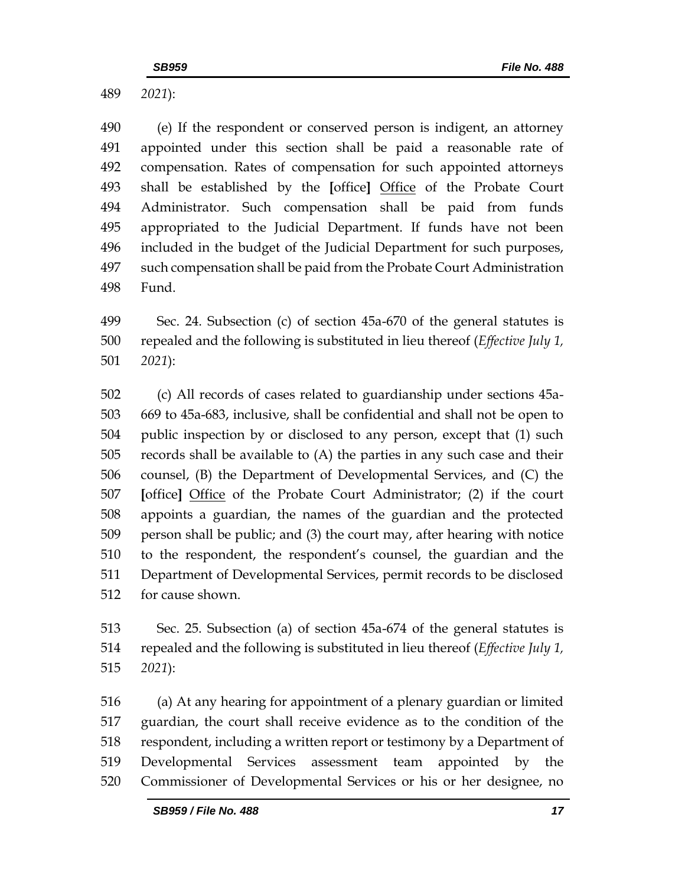*2021*):

 (e) If the respondent or conserved person is indigent, an attorney appointed under this section shall be paid a reasonable rate of compensation. Rates of compensation for such appointed attorneys shall be established by the **[**office**]** Office of the Probate Court Administrator. Such compensation shall be paid from funds appropriated to the Judicial Department. If funds have not been included in the budget of the Judicial Department for such purposes, such compensation shall be paid from the Probate Court Administration Fund.

 Sec. 24. Subsection (c) of section 45a-670 of the general statutes is repealed and the following is substituted in lieu thereof (*Effective July 1, 2021*):

 (c) All records of cases related to guardianship under sections 45a- 669 to 45a-683, inclusive, shall be confidential and shall not be open to public inspection by or disclosed to any person, except that (1) such records shall be available to (A) the parties in any such case and their counsel, (B) the Department of Developmental Services, and (C) the **[**office**]** Office of the Probate Court Administrator; (2) if the court appoints a guardian, the names of the guardian and the protected person shall be public; and (3) the court may, after hearing with notice to the respondent, the respondent's counsel, the guardian and the Department of Developmental Services, permit records to be disclosed for cause shown.

 Sec. 25. Subsection (a) of section 45a-674 of the general statutes is repealed and the following is substituted in lieu thereof (*Effective July 1, 2021*):

 (a) At any hearing for appointment of a plenary guardian or limited guardian, the court shall receive evidence as to the condition of the respondent, including a written report or testimony by a Department of Developmental Services assessment team appointed by the Commissioner of Developmental Services or his or her designee, no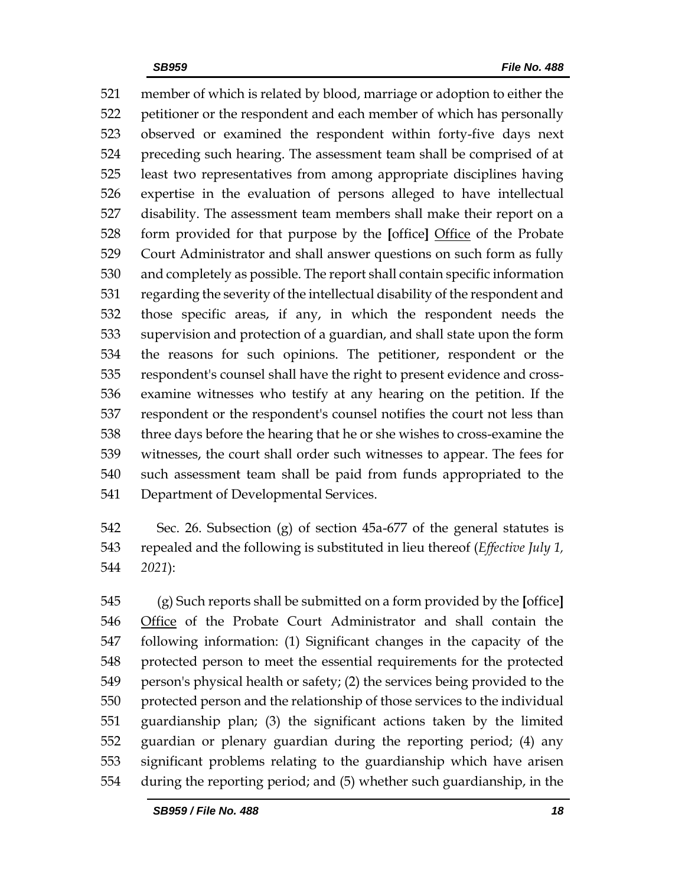member of which is related by blood, marriage or adoption to either the petitioner or the respondent and each member of which has personally observed or examined the respondent within forty-five days next preceding such hearing. The assessment team shall be comprised of at least two representatives from among appropriate disciplines having expertise in the evaluation of persons alleged to have intellectual disability. The assessment team members shall make their report on a form provided for that purpose by the **[**office**]** Office of the Probate Court Administrator and shall answer questions on such form as fully and completely as possible. The report shall contain specific information regarding the severity of the intellectual disability of the respondent and those specific areas, if any, in which the respondent needs the supervision and protection of a guardian, and shall state upon the form the reasons for such opinions. The petitioner, respondent or the respondent's counsel shall have the right to present evidence and cross- examine witnesses who testify at any hearing on the petition. If the respondent or the respondent's counsel notifies the court not less than three days before the hearing that he or she wishes to cross-examine the witnesses, the court shall order such witnesses to appear. The fees for such assessment team shall be paid from funds appropriated to the Department of Developmental Services.

 Sec. 26. Subsection (g) of section 45a-677 of the general statutes is repealed and the following is substituted in lieu thereof (*Effective July 1, 2021*):

 (g) Such reports shall be submitted on a form provided by the **[**office**]** Office of the Probate Court Administrator and shall contain the following information: (1) Significant changes in the capacity of the protected person to meet the essential requirements for the protected person's physical health or safety; (2) the services being provided to the protected person and the relationship of those services to the individual guardianship plan; (3) the significant actions taken by the limited guardian or plenary guardian during the reporting period; (4) any significant problems relating to the guardianship which have arisen during the reporting period; and (5) whether such guardianship, in the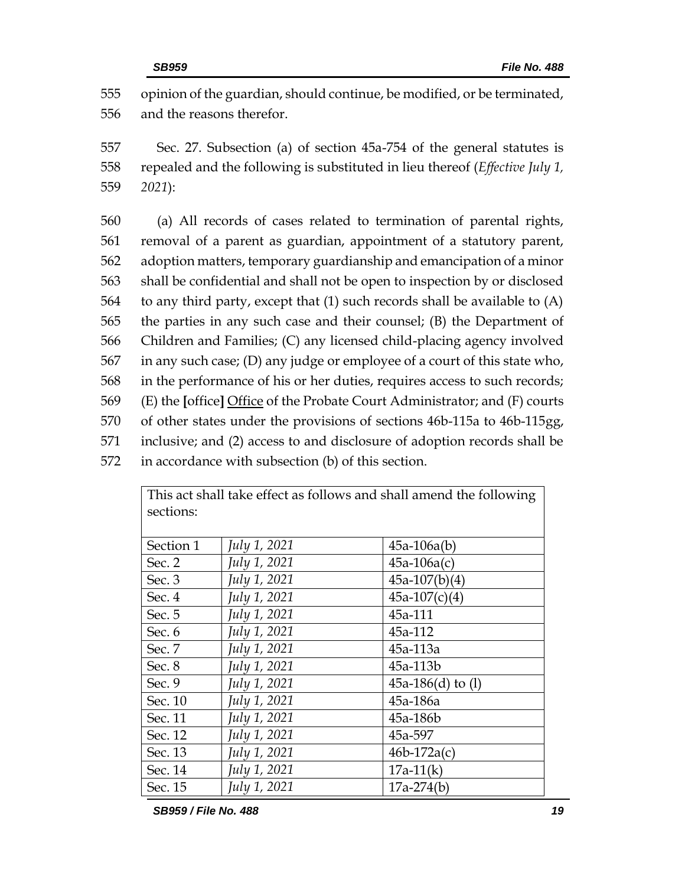555 opinion of the guardian, should continue, be modified, or be terminated, 556 and the reasons therefor.

557 Sec. 27. Subsection (a) of section 45a-754 of the general statutes is 558 repealed and the following is substituted in lieu thereof (*Effective July 1,*  559 *2021*):

 (a) All records of cases related to termination of parental rights, removal of a parent as guardian, appointment of a statutory parent, adoption matters, temporary guardianship and emancipation of a minor shall be confidential and shall not be open to inspection by or disclosed to any third party, except that (1) such records shall be available to (A) the parties in any such case and their counsel; (B) the Department of Children and Families; (C) any licensed child-placing agency involved in any such case; (D) any judge or employee of a court of this state who, in the performance of his or her duties, requires access to such records; (E) the **[**office**]** Office of the Probate Court Administrator; and (F) courts of other states under the provisions of sections 46b-115a to 46b-115gg, inclusive; and (2) access to and disclosure of adoption records shall be in accordance with subsection (b) of this section.

| sections: |              |                     |  |  |
|-----------|--------------|---------------------|--|--|
|           |              |                     |  |  |
| Section 1 | July 1, 2021 | $45a-106a(b)$       |  |  |
| Sec. 2    | July 1, 2021 | $45a-106a(c)$       |  |  |
| Sec. $3$  | July 1, 2021 | $45a-107(b)(4)$     |  |  |
| Sec. 4    | July 1, 2021 | $45a-107(c)(4)$     |  |  |
| Sec. 5    | July 1, 2021 | 45a-111             |  |  |
| Sec. 6    | July 1, 2021 | 45a-112             |  |  |
| Sec. 7    | July 1, 2021 | 45a-113a            |  |  |
| Sec. 8    | July 1, 2021 | 45a-113b            |  |  |
| Sec. 9    | July 1, 2021 | 45a-186(d) to $(l)$ |  |  |
| Sec. 10   | July 1, 2021 | 45a-186a            |  |  |
| Sec. 11   | July 1, 2021 | 45a-186b            |  |  |
| Sec. 12   | July 1, 2021 | 45a-597             |  |  |
| Sec. 13   | July 1, 2021 | $46b-172a(c)$       |  |  |
| Sec. 14   | July 1, 2021 | $17a-11(k)$         |  |  |
| Sec. 15   | July 1, 2021 | $17a-274(b)$        |  |  |

This act shall take effect as follows and shall amend the following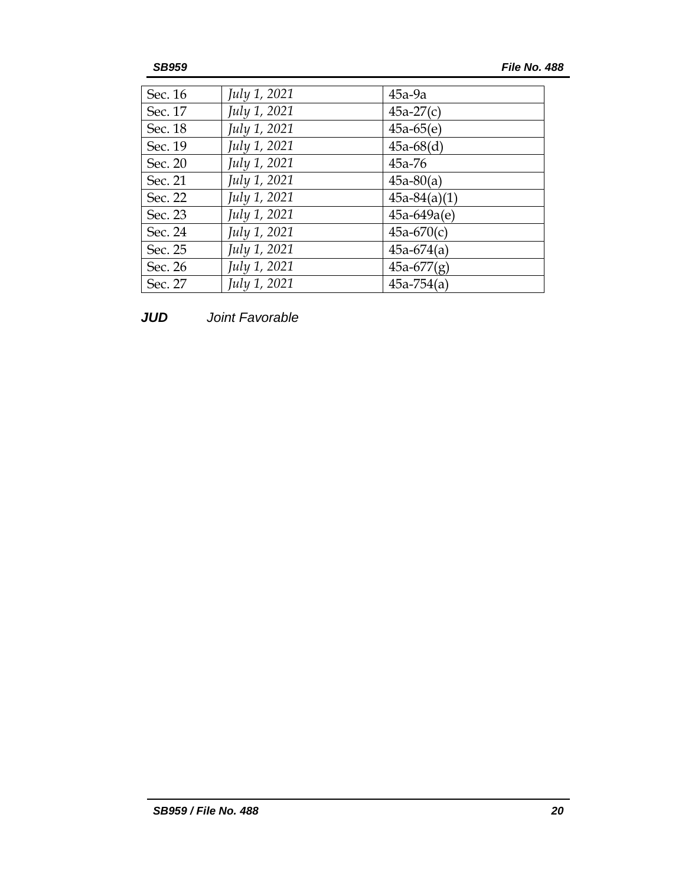| Sec. 16 | July 1, 2021 | $45a-9a$       |
|---------|--------------|----------------|
| Sec. 17 | July 1, 2021 | $45a-27(c)$    |
| Sec. 18 | July 1, 2021 | $45a-65(e)$    |
| Sec. 19 | July 1, 2021 | $45a-68(d)$    |
| Sec. 20 | July 1, 2021 | $45a - 76$     |
| Sec. 21 | July 1, 2021 | $45a-80(a)$    |
| Sec. 22 | July 1, 2021 | $45a-84(a)(1)$ |
| Sec. 23 | July 1, 2021 | $45a-649a(e)$  |
| Sec. 24 | July 1, 2021 | $45a-670(c)$   |
| Sec. 25 | July 1, 2021 | $45a-674(a)$   |
| Sec. 26 | July 1, 2021 | $45a-677(g)$   |
| Sec. 27 | July 1, 2021 | $45a - 754(a)$ |

*JUD Joint Favorable*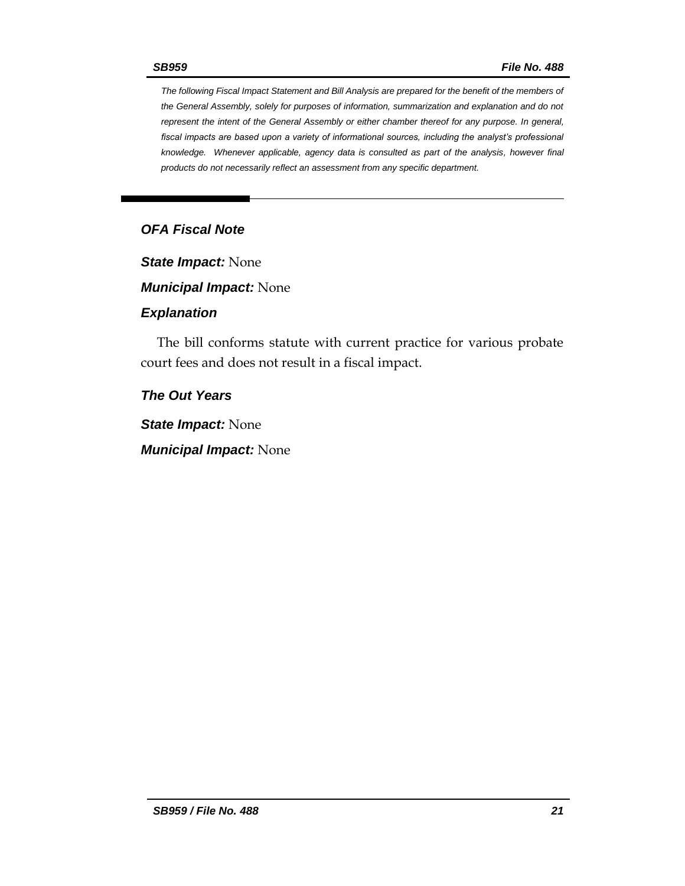*The following Fiscal Impact Statement and Bill Analysis are prepared for the benefit of the members of the General Assembly, solely for purposes of information, summarization and explanation and do not represent the intent of the General Assembly or either chamber thereof for any purpose. In general, fiscal impacts are based upon a variety of informational sources, including the analyst's professional knowledge. Whenever applicable, agency data is consulted as part of the analysis, however final products do not necessarily reflect an assessment from any specific department.*

## *OFA Fiscal Note*

*State Impact:* None

*Municipal Impact:* None

#### *Explanation*

The bill conforms statute with current practice for various probate court fees and does not result in a fiscal impact.

### *The Out Years*

*State Impact:* None

*Municipal Impact:* None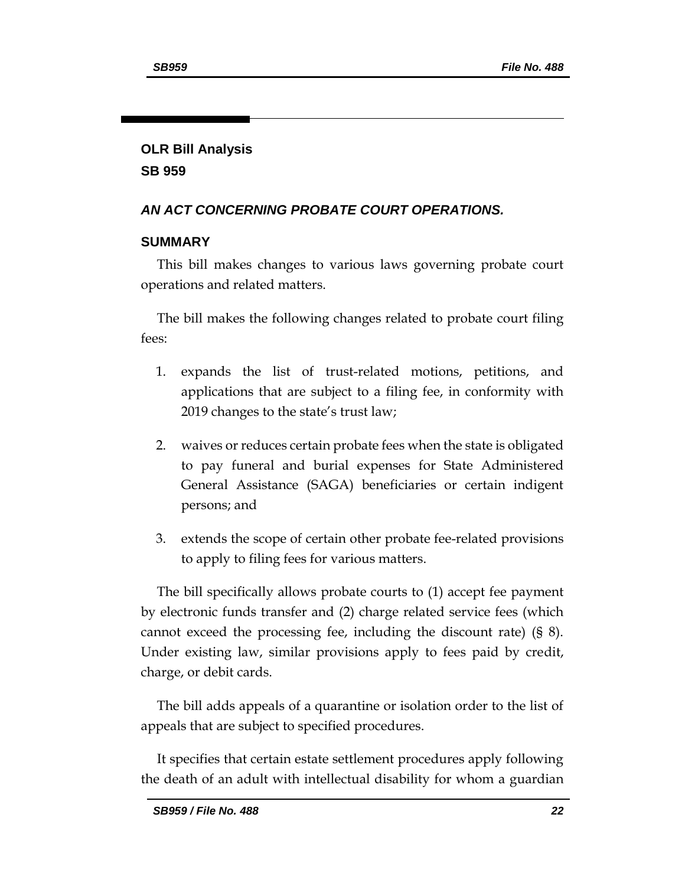## **OLR Bill Analysis SB 959**

## *AN ACT CONCERNING PROBATE COURT OPERATIONS.*

#### **SUMMARY**

This bill makes changes to various laws governing probate court operations and related matters.

The bill makes the following changes related to probate court filing fees:

- 1. expands the list of trust-related motions, petitions, and applications that are subject to a filing fee, in conformity with 2019 changes to the state's trust law;
- 2. waives or reduces certain probate fees when the state is obligated to pay funeral and burial expenses for State Administered General Assistance (SAGA) beneficiaries or certain indigent persons; and
- 3. extends the scope of certain other probate fee-related provisions to apply to filing fees for various matters.

The bill specifically allows probate courts to (1) accept fee payment by electronic funds transfer and (2) charge related service fees (which cannot exceed the processing fee, including the discount rate) (§ 8). Under existing law, similar provisions apply to fees paid by credit, charge, or debit cards.

The bill adds appeals of a quarantine or isolation order to the list of appeals that are subject to specified procedures.

It specifies that certain estate settlement procedures apply following the death of an adult with intellectual disability for whom a guardian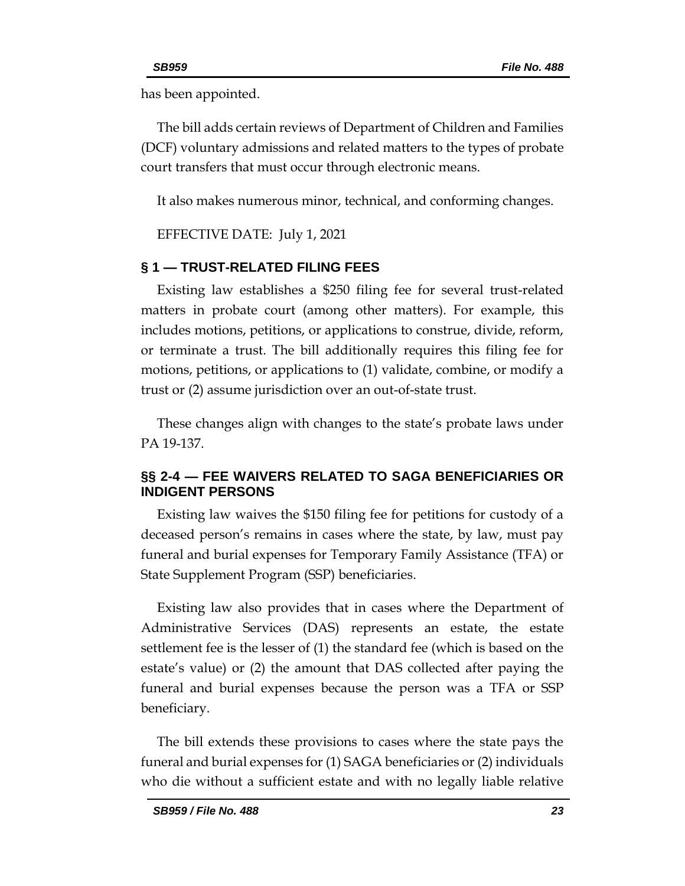has been appointed.

The bill adds certain reviews of Department of Children and Families (DCF) voluntary admissions and related matters to the types of probate court transfers that must occur through electronic means.

It also makes numerous minor, technical, and conforming changes.

EFFECTIVE DATE: July 1, 2021

### **§ 1 — TRUST-RELATED FILING FEES**

Existing law establishes a \$250 filing fee for several trust-related matters in probate court (among other matters). For example, this includes motions, petitions, or applications to construe, divide, reform, or terminate a trust. The bill additionally requires this filing fee for motions, petitions, or applications to (1) validate, combine, or modify a trust or (2) assume jurisdiction over an out-of-state trust.

These changes align with changes to the state's probate laws under PA 19-137.

## **§§ 2-4 — FEE WAIVERS RELATED TO SAGA BENEFICIARIES OR INDIGENT PERSONS**

Existing law waives the \$150 filing fee for petitions for custody of a deceased person's remains in cases where the state, by law, must pay funeral and burial expenses for Temporary Family Assistance (TFA) or State Supplement Program (SSP) beneficiaries.

Existing law also provides that in cases where the Department of Administrative Services (DAS) represents an estate, the estate settlement fee is the lesser of (1) the standard fee (which is based on the estate's value) or (2) the amount that DAS collected after paying the funeral and burial expenses because the person was a TFA or SSP beneficiary.

The bill extends these provisions to cases where the state pays the funeral and burial expenses for (1) SAGA beneficiaries or (2) individuals who die without a sufficient estate and with no legally liable relative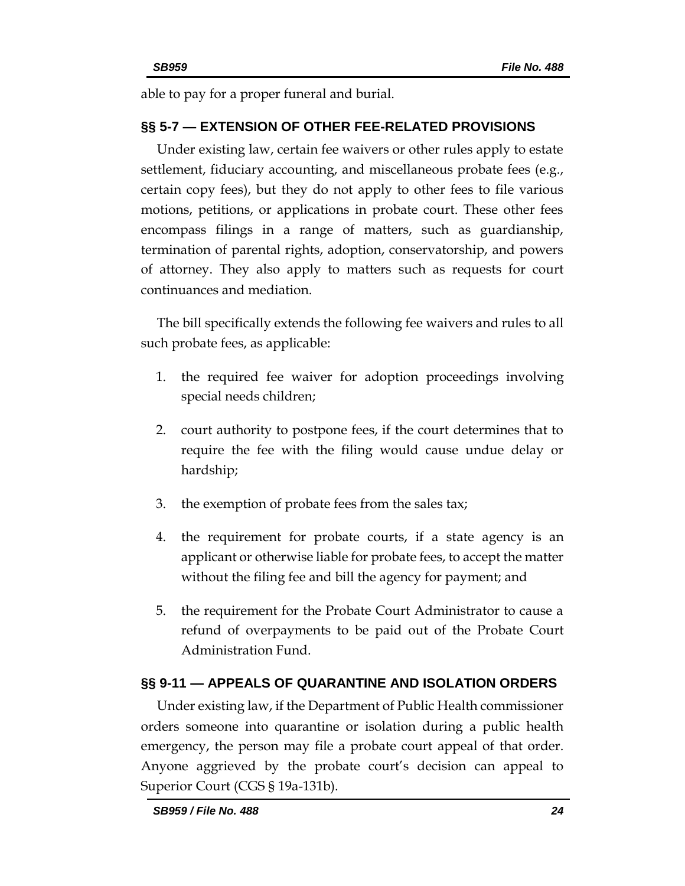able to pay for a proper funeral and burial.

## **§§ 5-7 — EXTENSION OF OTHER FEE-RELATED PROVISIONS**

Under existing law, certain fee waivers or other rules apply to estate settlement, fiduciary accounting, and miscellaneous probate fees (e.g., certain copy fees), but they do not apply to other fees to file various motions, petitions, or applications in probate court. These other fees encompass filings in a range of matters, such as guardianship, termination of parental rights, adoption, conservatorship, and powers of attorney. They also apply to matters such as requests for court continuances and mediation.

The bill specifically extends the following fee waivers and rules to all such probate fees, as applicable:

- 1. the required fee waiver for adoption proceedings involving special needs children;
- 2. court authority to postpone fees, if the court determines that to require the fee with the filing would cause undue delay or hardship;
- 3. the exemption of probate fees from the sales tax;
- 4. the requirement for probate courts, if a state agency is an applicant or otherwise liable for probate fees, to accept the matter without the filing fee and bill the agency for payment; and
- 5. the requirement for the Probate Court Administrator to cause a refund of overpayments to be paid out of the Probate Court Administration Fund.

## **§§ 9-11 — APPEALS OF QUARANTINE AND ISOLATION ORDERS**

Under existing law, if the Department of Public Health commissioner orders someone into quarantine or isolation during a public health emergency, the person may file a probate court appeal of that order. Anyone aggrieved by the probate court's decision can appeal to Superior Court (CGS § 19a-131b).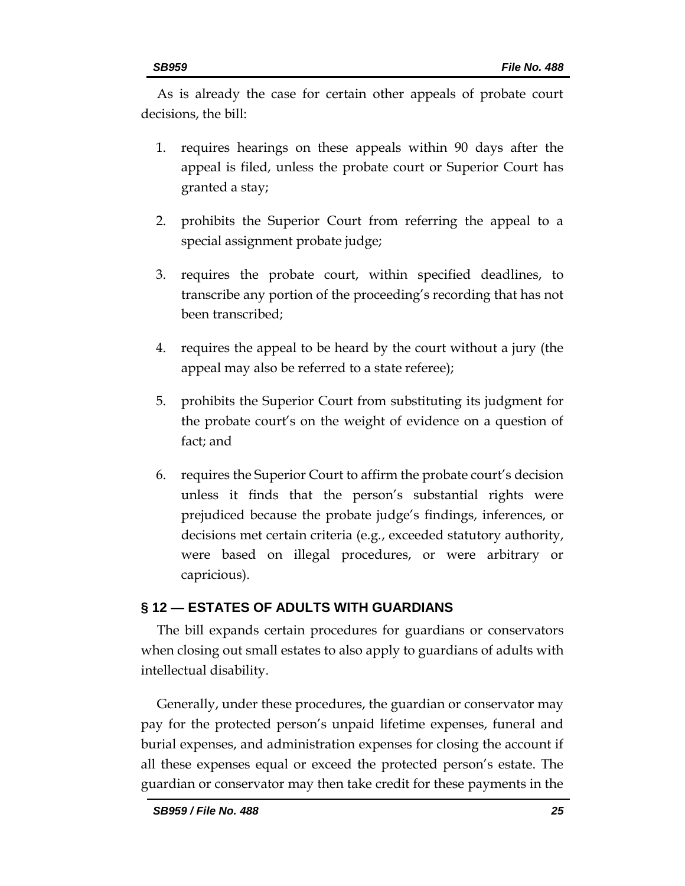As is already the case for certain other appeals of probate court decisions, the bill:

- 1. requires hearings on these appeals within 90 days after the appeal is filed, unless the probate court or Superior Court has granted a stay;
- 2. prohibits the Superior Court from referring the appeal to a special assignment probate judge;
- 3. requires the probate court, within specified deadlines, to transcribe any portion of the proceeding's recording that has not been transcribed;
- 4. requires the appeal to be heard by the court without a jury (the appeal may also be referred to a state referee);
- 5. prohibits the Superior Court from substituting its judgment for the probate court's on the weight of evidence on a question of fact; and
- 6. requires the Superior Court to affirm the probate court's decision unless it finds that the person's substantial rights were prejudiced because the probate judge's findings, inferences, or decisions met certain criteria (e.g., exceeded statutory authority, were based on illegal procedures, or were arbitrary or capricious).

## **§ 12 — ESTATES OF ADULTS WITH GUARDIANS**

The bill expands certain procedures for guardians or conservators when closing out small estates to also apply to guardians of adults with intellectual disability.

Generally, under these procedures, the guardian or conservator may pay for the protected person's unpaid lifetime expenses, funeral and burial expenses, and administration expenses for closing the account if all these expenses equal or exceed the protected person's estate. The guardian or conservator may then take credit for these payments in the